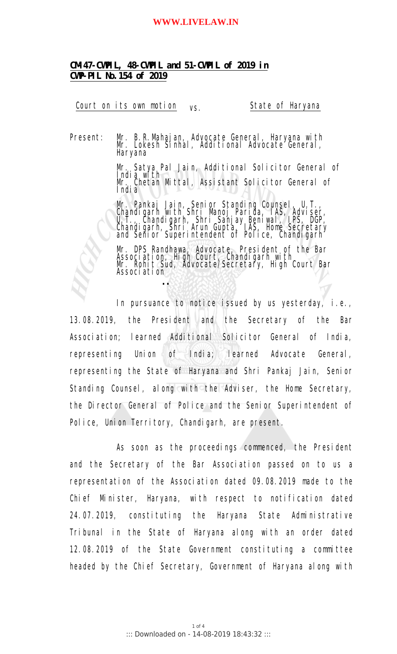#### **WWW.LIVELAW.IN**

**CM-47-CWPIL, 48-CWPIL and 51-CWPIL of 2019 in CWP-PIL No.154 of 2019**

 **..**

Court on its own motion vs. State of Haryana

Present: Mr. B. R. Mahajan, Advocate General, Haryana with Mr. Lokesh Sinhal, Additional Advocate General, Haryana

> Mr. Satya Pal Jain, Additional Solicitor General of India with Mr. Chetan Mittal, Assistant Solicitor General of India

Mr. Pankaj Jain, Senior Standing Counsel, U.T., Chandigarh with Shri Manoj Parida, IAS, Adviser, U. T. , Chandi garh, Shri Sanjay Beni wal , IPS, DGP, Chandigarh, Shri Arun Gupta, IAS, Home Secretary and Senior Superintendent of Police, Chandigarh Theorior Superintent Senior Senior Senior Senior Senior Senior

Mr. DPS Randhawa, Advocate, President of the Bar Association, High Court, Chandigarh with Mr. Rohit Sud, Advocate/Secretary, High Court Bar Association

In pursuance to notice issued by us yesterday, i.e., 13.08.2019, the President and the Secretary of the Bar Association; learned Additional Solicitor General of India, representing Union of India; learned Advocate General, representing the State of Haryana and Shri Pankaj Jain, Senior Standing Counsel, along with the Adviser, the Home Secretary, the Director General of Police and the Senior Superintendent of Police, Union Territory, Chandigarh, are present.

As soon as the proceedings commenced, the President and the Secretary of the Bar Association passed on to us a representation of the Association dated 09.08.2019 made to the Chief Minister, Haryana, with respect to notification dated 24.07.2019, constituting the Haryana State Administrative Tribunal in the State of Haryana along with an order dated 12.08.2019 of the State Government constituting a committee headed by the Chief Secretary, Government of Haryana along with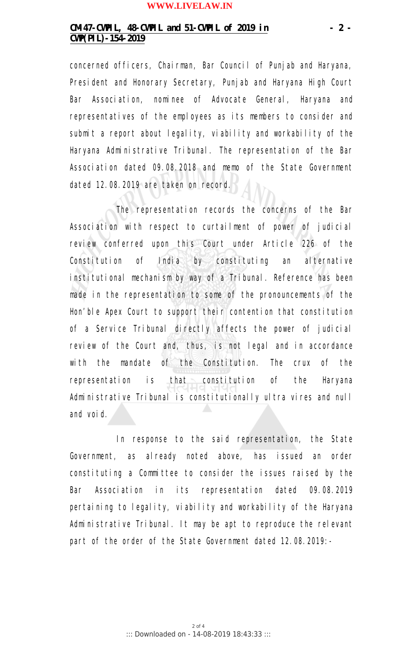#### **WWW.LIVELAW.IN**

## **CM-47-CWPIL, 48-CWPIL and 51-CWPIL of 2019 in - 2 - CWP(PIL)-154-2019**

concerned officers, Chairman, Bar Council of Punjab and Haryana, President and Honorary Secretary, Punjab and Haryana High Court Bar Association, nominee of Advocate General, Haryana and representatives of the employees as its members to consider and submit a report about legality, viability and workability of the Haryana Administrative Tribunal. The representation of the Bar Association dated 09.08.2018 and memo of the State Government dated 12.08.2019 are taken on record.

The representation records the concerns of the Bar Association with respect to curtailment of power of judicial review conferred upon this Court under Article 226 of the Constitution of India by constituting an alternative institutional mechanism by way of a Tribunal. Reference has been made in the representation to some of the pronouncements of the Hon'ble Apex Court to support their contention that constitution of a Service Tribunal directly affects the power of judicial review of the Court and, thus, is not legal and in accordance with the mandate of the Constitution. The crux of the representation is that constitution of the Haryana Administrative Tribunal is constitutionally *ultra vires* and null and void.

In response to the said representation, the State Government, as already noted above, has issued an order constituting a Committee to consider the issues raised by the Bar Association in its representation dated 09.08.2019 pertaining to legality, viability and workability of the Haryana Administrative Tribunal. It may be apt to reproduce the relevant part of the order of the State Government dated 12.08.2019: -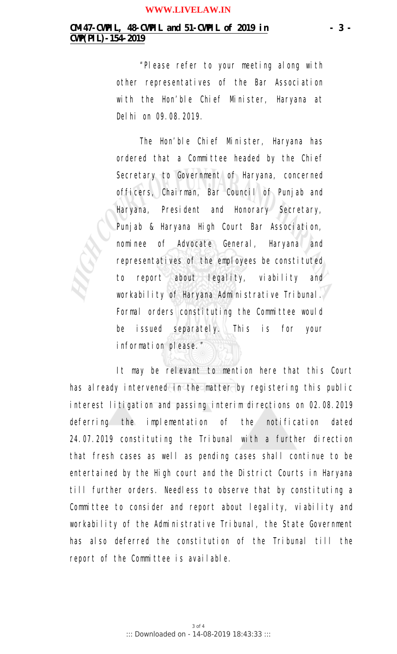## **CM-47-CWPIL, 48-CWPIL and 51-CWPIL of 2019 in - 3 - CWP(PIL)-154-2019**

*"Please refer to your meeting along with other representatives of the Bar Association with the Hon'ble Chief Minister, Haryana at Delhi on 09.08.2019.*

*The Hon'ble Chief Minister, Haryana has ordered that a Committee headed by the Chief Secretary to Government of Haryana, concerned officers, Chairman, Bar Council of Punjab and Haryana, President and Honorary Secretary, Punjab & Haryana High Court Bar Association, nominee of Advocate General, Haryana and* representatives of the employees be constituted *to report about legality, viability and workability of Haryana Administrative Tribunal.* Formal orders constituting the Committee would *be issued separately. This is for your information please."*

It may be relevant to mention here that this Court has already intervened in the matter by registering this public interest litigation and passing interim directions on 02.08.2019 deferring the implementation of the notification dated 24.07.2019 constituting the Tribunal with a further direction that fresh cases as well as pending cases shall continue to be entertained by the High court and the District Courts in Haryana till further orders. Needless to observe that by constituting a Committee to consider and report about legality, viability and workability of the Administrative Tribunal, the State Government has also deferred the constitution of the Tribunal till the report of the Committee is available.

> 3 of 4 ::: Downloaded on - 14-08-2019 18:43:33 :::